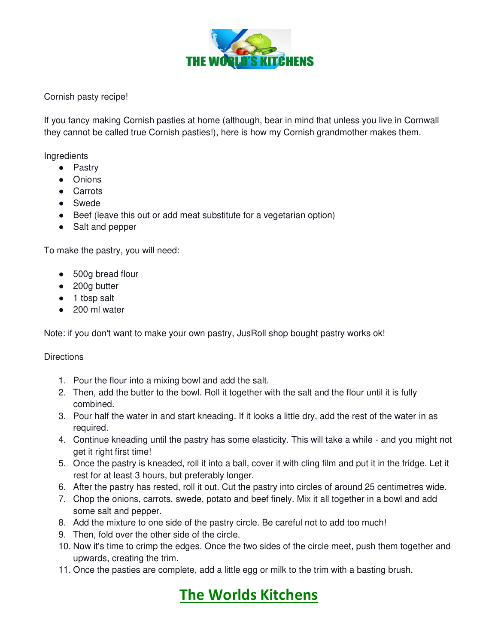

Cornish pasty recipe!

If you fancy making Cornish pasties at home (although, bear in mind that unless you live in Cornwall they cannot be called true Cornish pasties!), here is how my Cornish grandmother makes them.

Ingredients

- Pastry
- Onions
- Carrots
- Swede
- Beef (leave this out or add meat substitute for a vegetarian option)
- Salt and pepper

To make the pastry, you will need:

- 500g bread flour
- 200g butter
- 1 tbsp salt
- 200 ml water

Note: if you don't want to make your own pastry, JusRoll shop bought pastry works ok!

## **Directions**

- 1. Pour the flour into a mixing bowl and add the salt.
- 2. Then, add the butter to the bowl. Roll it together with the salt and the flour until it is fully combined.
- 3. Pour half the water in and start kneading. If it looks a little dry, add the rest of the water in as required.
- 4. Continue kneading until the pastry has some elasticity. This will take a while and you might not get it right first time!
- 5. Once the pastry is kneaded, roll it into a ball, cover it with cling film and put it in the fridge. Let it rest for at least 3 hours, but preferably longer.
- 6. After the pastry has rested, roll it out. Cut the pastry into circles of around 25 centimetres wide.
- 7. Chop the onions, carrots, swede, potato and beef finely. Mix it all together in a bowl and add some salt and pepper.
- 8. Add the mixture to one side of the pastry circle. Be careful not to add too much!
- 9. Then, fold over the other side of the circle.
- 10. Now it's time to crimp the edges. Once the two sides of the circle meet, push them together and upwards, creating the trim.
- 11. Once the pasties are complete, add a little egg or milk to the trim with a basting brush.

## **The Worlds Kitchens**